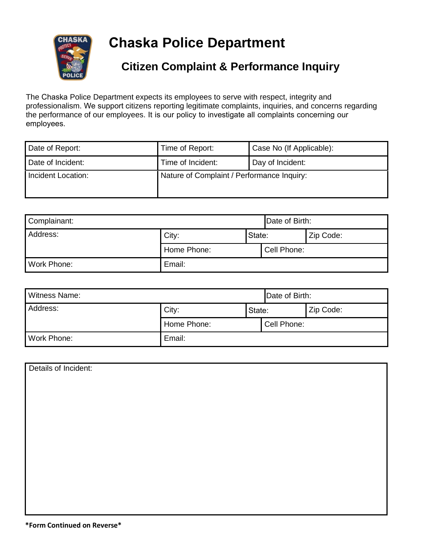

**Chaska Police Department** 

## **Citizen Complaint & Performance Inquiry**

The Chaska Police Department expects its employees to serve with respect, integrity and professionalism. We support citizens reporting legitimate complaints, inquiries, and concerns regarding the performance of our employees. It is our policy to investigate all complaints concerning our employees.

| Date of Report:    | Time of Report:                            | Case No (If Applicable): |
|--------------------|--------------------------------------------|--------------------------|
| Date of Incident:  | Time of Incident:                          | Day of Incident:         |
| Incident Location: | Nature of Complaint / Performance Inquiry: |                          |

| Complainant: |             |        | Date of Birth: |           |
|--------------|-------------|--------|----------------|-----------|
| Address:     | City:       | State: |                | Zip Code: |
|              | Home Phone: |        | Cell Phone:    |           |
| Work Phone:  | Email:      |        |                |           |

| Witness Name: |             | Date of Birth: |             |           |
|---------------|-------------|----------------|-------------|-----------|
| Address:      | City:       | State:         |             | Zip Code: |
|               | Home Phone: |                | Cell Phone: |           |
| Work Phone:   | Email:      |                |             |           |

| Details of Incident: |
|----------------------|
|                      |
|                      |
|                      |
|                      |
|                      |
|                      |
|                      |
|                      |
|                      |
|                      |
|                      |